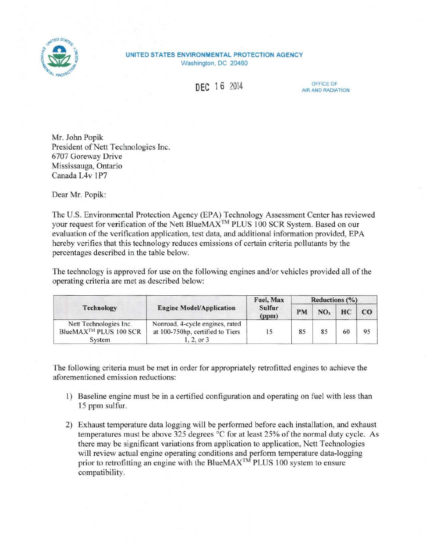

## **UNITED STATES ENVIRONMENTAL PROTECTION AGENCY**  Washington, DC 20460

**DEC 16** 2014 **DEC 16** 2014

Mr. John Popik President of Nett Technologies Inc. 6707 Goreway Drive Mississauga, Ontario Canada L4v 1P7

Dear Mr. Popik:

The U.S. Environmental Protection Agency (EPA) Technology Assessment Center has reviewed your request for verification of the Nett BlueMAX™ PLUS 100 SCR System. Based on our evaluation of the verification application, test data, and additional information provided, EPA hereby verifies that this technology reduces emissions of certain criteria pollutants by the percentages described in the table below.

The technology is approved for use on the following engines and/or vehicles provided all of the operating criteria are met as described below:

| Technology                                                            | <b>Engine Model/Application</b>                                                | Fuel, Max<br>Sulfur<br>(ppm) | Reductions $(\% )$ |                 |    |             |
|-----------------------------------------------------------------------|--------------------------------------------------------------------------------|------------------------------|--------------------|-----------------|----|-------------|
|                                                                       |                                                                                |                              | PM                 | NO <sub>x</sub> | HC | $_{\rm CO}$ |
| Nett Technologies Inc.<br>BlueMAX <sup>™</sup> PLUS 100 SCR<br>System | Nonroad, 4-cycle engines, rated<br>at 100-750hp, certified to Tiers<br>2, or 3 |                              | 85                 | 85              | 60 | 95          |

The following criteria must be met in order for appropriately retrofitted engines to achieve the aforementioned emission reductions:

- 1) Baseline engine must be in a certified configuration and operating on fuel with less than 15 ppm sulfur.
- 2) Exhaust temperature data logging will be performed before each installation, and exhaust temperatures must be above 325 degrees °C for at least 25% of the normal duty cycle. As there may be significant variations trom application to application, Nett Technologies will review actual engine operating conditions and perform temperature data-logging prior to retrofitting an engine with the BlueMAX<sup>™</sup> PLUS 100 system to ensure compatibility.